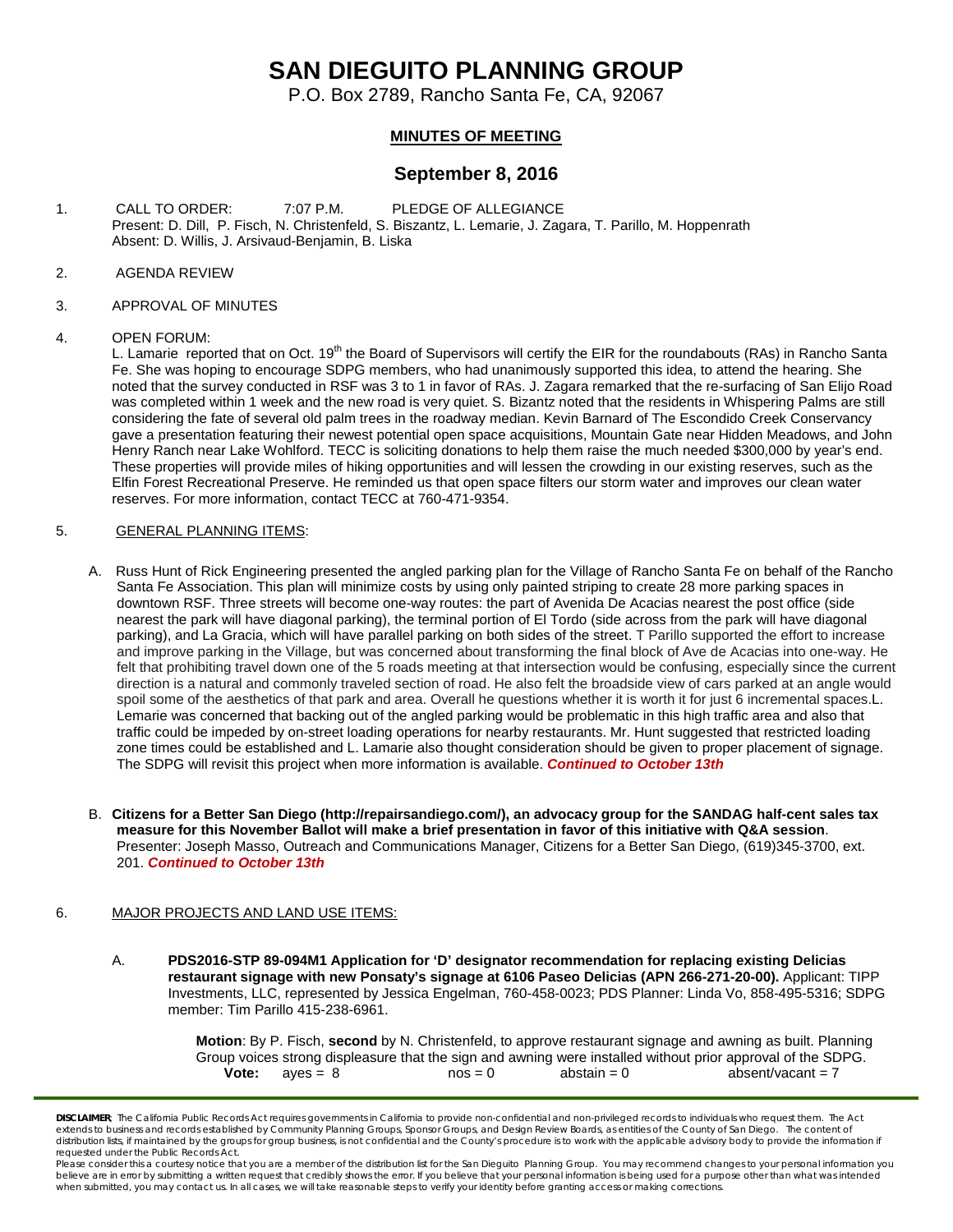## **SAN DIEGUITO PLANNING GROUP**

P.O. Box 2789, Rancho Santa Fe, CA, 92067

## **MINUTES OF MEETING**

## **September 8, 2016**

- 1. CALL TO ORDER: 7:07 P.M. PLEDGE OF ALLEGIANCE Present: D. Dill, P. Fisch, N. Christenfeld, S. Biszantz, L. Lemarie, J. Zagara, T. Parillo, M. Hoppenrath Absent: D. Willis, J. Arsivaud-Benjamin, B. Liska
- 2. AGENDA REVIEW
- 3. APPROVAL OF MINUTES

#### 4. OPEN FORUM:

L. Lamarie reported that on Oct. 19<sup>th</sup> the Board of Supervisors will certify the EIR for the roundabouts (RAs) in Rancho Santa Fe. She was hoping to encourage SDPG members, who had unanimously supported this idea, to attend the hearing. She noted that the survey conducted in RSF was 3 to 1 in favor of RAs. J. Zagara remarked that the re-surfacing of San Elijo Road was completed within 1 week and the new road is very quiet. S. Bizantz noted that the residents in Whispering Palms are still considering the fate of several old palm trees in the roadway median. Kevin Barnard of The Escondido Creek Conservancy gave a presentation featuring their newest potential open space acquisitions, Mountain Gate near Hidden Meadows, and John Henry Ranch near Lake Wohlford. TECC is soliciting donations to help them raise the much needed \$300,000 by year's end. These properties will provide miles of hiking opportunities and will lessen the crowding in our existing reserves, such as the Elfin Forest Recreational Preserve. He reminded us that open space filters our storm water and improves our clean water reserves. For more information, contact TECC at 760-471-9354.

#### 5. GENERAL PLANNING ITEMS:

- A. Russ Hunt of Rick Engineering presented the angled parking plan for the Village of Rancho Santa Fe on behalf of the Rancho Santa Fe Association. This plan will minimize costs by using only painted striping to create 28 more parking spaces in downtown RSF. Three streets will become one-way routes: the part of Avenida De Acacias nearest the post office (side nearest the park will have diagonal parking), the terminal portion of El Tordo (side across from the park will have diagonal parking), and La Gracia, which will have parallel parking on both sides of the street. T Parillo supported the effort to increase and improve parking in the Village, but was concerned about transforming the final block of Ave de Acacias into one-way. He felt that prohibiting travel down one of the 5 roads meeting at that intersection would be confusing, especially since the current direction is a natural and commonly traveled section of road. He also felt the broadside view of cars parked at an angle would spoil some of the aesthetics of that park and area. Overall he questions whether it is worth it for just 6 incremental spaces.L. Lemarie was concerned that backing out of the angled parking would be problematic in this high traffic area and also that traffic could be impeded by on-street loading operations for nearby restaurants. Mr. Hunt suggested that restricted loading zone times could be established and L. Lamarie also thought consideration should be given to proper placement of signage. The SDPG will revisit this project when more information is available. *Continued to October 13th*
- B. **Citizens for a Better San Diego [\(http://repairsandiego.com/\)](http://repairsandiego.com/), an advocacy group for the SANDAG half-cent sales tax measure for this November Ballot will make a brief presentation in favor of this initiative with Q&A session**. Presenter: Joseph Masso, Outreach and Communications Manager, Citizens for a Better San Diego, [\(619\)345-3700, ext.](tel:%28619%29345-3700%2C%20ext.%20201)  [201.](tel:%28619%29345-3700%2C%20ext.%20201) *Continued to October 13th*

#### 6. MAJOR PROJECTS AND LAND USE ITEMS:

A. **PDS2016-STP 89-094M1 Application for 'D' designator recommendation for replacing existing Delicias restaurant signage with new Ponsaty's signage at 6106 Paseo Delicias (APN 266-271-20-00).** Applicant: TIPP Investments, LLC, represented by Jessica Engelman[, 760-458-0023;](tel:760-458-0023) PDS Planner: Linda Vo, [858-495-5316;](tel:858-495-5316) SDPG member: Tim Parillo [415-238-6961.](tel:415-238-6961)

> **Motion**: By P. Fisch, **second** by N. Christenfeld, to approve restaurant signage and awning as built. Planning Group voices strong displeasure that the sign and awning were installed without prior approval of the SDPG.  $aves = 8$  nos = 0 abstain = 0 absent/vacant = 7

*DISCLAIMER; The California Public Records Act requires governments in California to provide non-confidential and non-privileged records to individuals who request them. The Act*  extends to business and records established by Community Planning Groups, Sponsor Groups, and Design Review Boards, as entities of the County of San Diego. The content of distribution lists, if maintained by the groups for group business, is not confidential and the County's procedure is to work with the applicable advisory body to provide the information if *requested under the Public Records Act.*

*Please consider this a courtesy notice that you are a member of the distribution list for the San Dieguito Planning Group. You may recommend changes to your personal information you*  believe are in error by submitting a written request that credibly shows the error. If you believe that your personal information is being used for a purpose other than what was intended<br>when submitted, you may contact us.